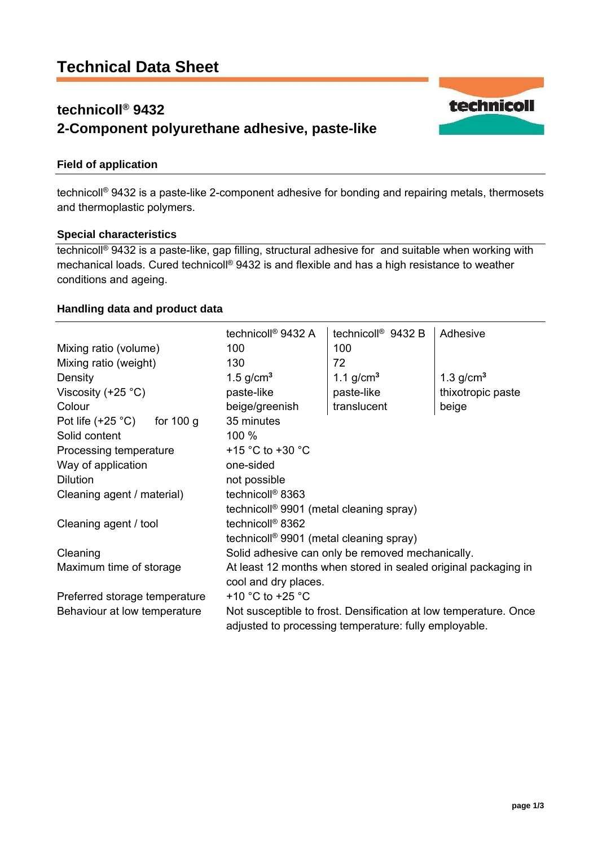# **technicoll® 9432 2-Component polyurethane adhesive, paste-like**



technicoll® 9432 is a paste-like 2-component adhesive for bonding and repairing metals, thermosets and thermoplastic polymers.

#### **Special characteristics**

technicoll® 9432 is a paste-like, gap filling, structural adhesive for and suitable when working with mechanical loads. Cured technicoll® 9432 is and flexible and has a high resistance to weather conditions and ageing.

### **Handling data and product data**

|                                  | technicoll <sup>®</sup> 9432 A                                                                                            | technicoll <sup>®</sup> 9432 B | Adhesive          |
|----------------------------------|---------------------------------------------------------------------------------------------------------------------------|--------------------------------|-------------------|
| Mixing ratio (volume)            | 100                                                                                                                       | 100                            |                   |
| Mixing ratio (weight)            | 130                                                                                                                       | 72                             |                   |
| Density                          | 1.5 $g/cm3$                                                                                                               | 1.1 $g/cm3$                    | 1.3 $g/cm3$       |
| Viscosity (+25 $^{\circ}$ C)     | paste-like                                                                                                                | paste-like                     | thixotropic paste |
| Colour                           | beige/greenish                                                                                                            | translucent                    | beige             |
| Pot life $(+25 °C)$<br>for 100 g | 35 minutes                                                                                                                |                                |                   |
| Solid content                    | 100 %                                                                                                                     |                                |                   |
| Processing temperature           | +15 $^{\circ}$ C to +30 $^{\circ}$ C                                                                                      |                                |                   |
| Way of application               | one-sided                                                                                                                 |                                |                   |
| <b>Dilution</b>                  | not possible                                                                                                              |                                |                   |
| Cleaning agent / material)       | technicoll <sup>®</sup> 8363                                                                                              |                                |                   |
|                                  | technicoll <sup>®</sup> 9901 (metal cleaning spray)                                                                       |                                |                   |
| Cleaning agent / tool            | technicoll <sup>®</sup> 8362                                                                                              |                                |                   |
|                                  | technicoll <sup>®</sup> 9901 (metal cleaning spray)                                                                       |                                |                   |
| Cleaning                         | Solid adhesive can only be removed mechanically.                                                                          |                                |                   |
| Maximum time of storage          | At least 12 months when stored in sealed original packaging in                                                            |                                |                   |
|                                  | cool and dry places.                                                                                                      |                                |                   |
| Preferred storage temperature    | +10 $^{\circ}$ C to +25 $^{\circ}$ C                                                                                      |                                |                   |
| Behaviour at low temperature     | Not susceptible to frost. Densification at low temperature. Once<br>adjusted to processing temperature: fully employable. |                                |                   |

technicoll